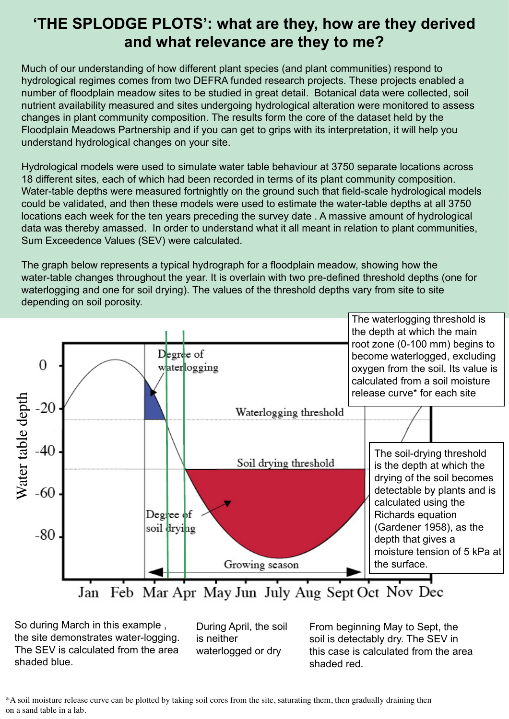### **'THE SPLODGE PLOTS': what are they, how are they derived and what relevance are they to me?**

Much of our understanding of how different plant species (and plant communities) respond to hydrological regimes comes from two DEFRA funded research projects. These projects enabled a number of floodplain meadow sites to be studied in great detail. Botanical data were collected, soil nutrient availability measured and sites undergoing hydrological alteration were monitored to assess changes in plant community composition. The results form the core of the dataset held by the Floodplain Meadows Partnership and if you can get to grips with its interpretation, it will help you understand hydrological changes on your site.

Hydrological models were used to simulate water table behaviour at 3750 separate locations across 18 different sites, each of which had been recorded in terms of its plant community composition. Water-table depths were measured fortnightly on the ground such that field-scale hydrological models could be validated, and then these models were used to estimate the water-table depths at all 3750 locations each week for the ten years preceding the survey date . A massive amount of hydrological data was thereby amassed. In order to understand what it all meant in relation to plant communities, Sum Exceedence Values (SEV) were calculated.

The graph below represents a typical hydrograph for a floodplain meadow, showing how the water-table changes throughout the year. It is overlain with two pre-defined threshold depths (one for waterlogging and one for soil drying). The values of the threshold depths vary from site to site depending on soil porosity.



So during March in this example , the site demonstrates water-logging. The SEV is calculated from the area shaded blue.

During April, the soil is neither waterlogged or dry

From beginning May to Sept, the soil is detectably dry. The SEV in this case is calculated from the area shaded red.

\*A soil moisture release curve can be plotted by taking soil cores from the site, saturating them, then gradually draining then on a sand table in a lab.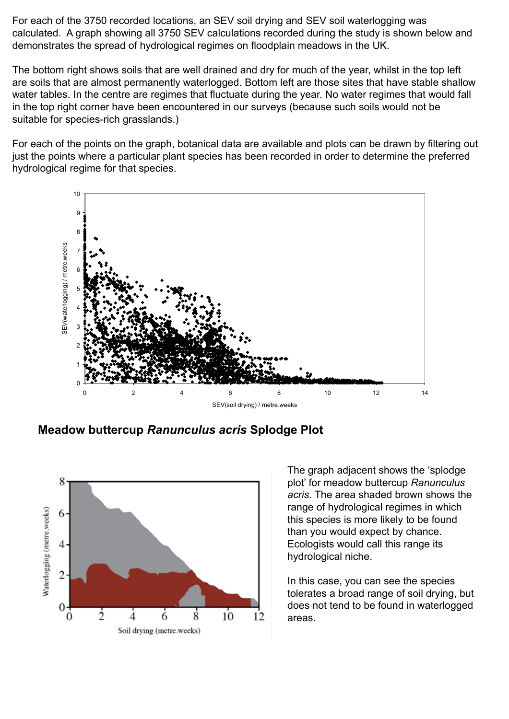For each of the 3750 recorded locations, an SEV soil drying and SEV soil waterlogging was calculated. A graph showing all 3750 SEV calculations recorded during the study is shown below and demonstrates the spread of hydrological regimes on floodplain meadows in the UK.

The bottom right shows soils that are well drained and dry for much of the year, whilst in the top left are soils that are almost permanently waterlogged. Bottom left are those sites that have stable shallow water tables. In the centre are regimes that fluctuate during the year. No water regimes that would fall in the top right corner have been encountered in our surveys (because such soils would not be suitable for species-rich grasslands.)

For each of the points on the graph, botanical data are available and plots can be drawn by filtering out just the points where a particular plant species has been recorded in order to determine the preferred hydrological regime for that species.



**Figure 5**. Water regime of all 3750 locations sampled across 20 sites as defined by their two SEVs. Points in the bottom right of the **Meadow buttercup** *Ranunculus acris* **Splodge Plot**



The graph adjacent shows the 'splodge plot' for meadow buttercup *Ranunculus acris*. The area shaded brown shows the range of hydrological regimes in which this species is more likely to be found than you would expect by chance. Ecologists would call this range its hydrological niche.

In this case, you can see the species tolerates a broad range of soil drying, but does not tend to be found in waterlogged areas.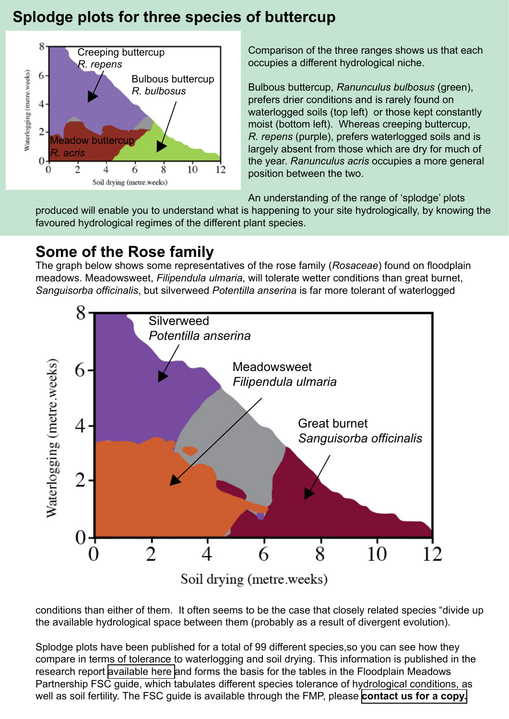## **Splodge plots for three species of buttercup**



Comparison of the three ranges shows us that each occupies a different hydrological niche.

Bulbous buttercup, *Ranunculus bulbosus* (green), prefers drier conditions and is rarely found on waterlogged soils (top left) or those kept constantly moist (bottom left). Whereas creeping buttercup, *R. repens* (purple), prefers waterlogged soils and is largely absent from those which are dry for much of the year. *Ranunculus acris* occupies a more general position between the two.

An understanding of the range of 'splodge' plots

produced will enable you to understand what is happening to your site hydrologically, by knowing the favoured hydrological regimes of the different plant species.

## **Some of the Rose family**

The graph below shows some representatives of the rose family (*Rosaceae*) found on floodplain meadows. Meadowsweet, *Filipendula ulmaria*, will tolerate wetter conditions than great burnet, *Sanguisorba officinalis*, but silverweed *Potentilla anserina* is far more tolerant of waterlogged



Soil drying (metre.weeks)

conditions than either of them. It often seems to be the case that closely related species "divide up the available hydrological space between them (probably as a result of divergent evolution).

Splodge plots have been published for a total of 99 different species,so you can see how they compare in terms of tolerance to waterlogging and soil drying. This information is published in the research report [available here](http://www.floodplainmeadows.org.uk/files/floodplain/d96437.pdf) and forms the basis for the tables in the Floodplain Meadows Partnership FSC guide, which tabulates different species tolerance of hydrological conditions, as well as soil fertility. The FSC guide is available through the FMP, please **[contact us for a copy.](http://www.floodplainmeadows.org.uk/content/contact-us)**